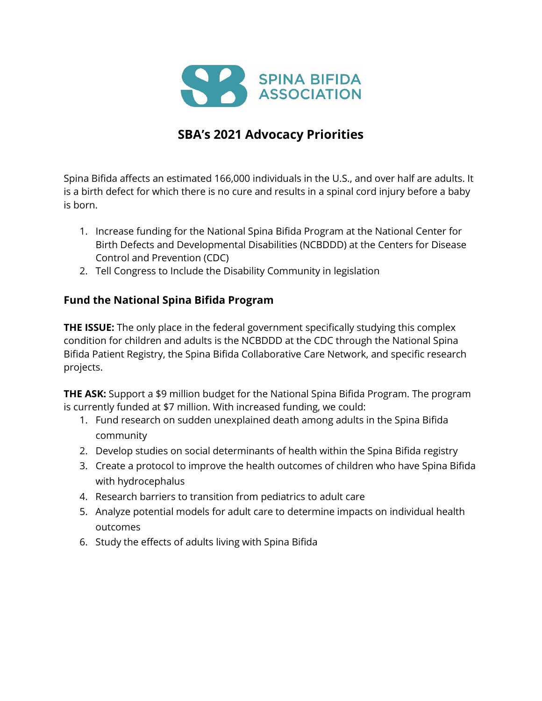

## **SBA's 2021 Advocacy Priorities**

Spina Bifida affects an estimated 166,000 individuals in the U.S., and over half are adults. It is a birth defect for which there is no cure and results in a spinal cord injury before a baby is born.

- 1. Increase funding for the National Spina Bifida Program at the National Center for Birth Defects and Developmental Disabilities (NCBDDD) at the Centers for Disease Control and Prevention (CDC)
- 2. Tell Congress to Include the Disability Community in legislation

## **Fund the National Spina Bifida Program**

**THE ISSUE:** The only place in the federal government specifically studying this complex condition for children and adults is the NCBDDD at the CDC through the National Spina Bifida Patient Registry, the Spina Bifida Collaborative Care Network, and specific research projects.

**THE ASK:** Support a \$9 million budget for the National Spina Bifida Program. The program is currently funded at \$7 million. With increased funding, we could:

- 1. Fund research on sudden unexplained death among adults in the Spina Bifida community
- 2. Develop studies on social determinants of health within the Spina Bifida registry
- 3. Create a protocol to improve the health outcomes of children who have Spina Bifida with hydrocephalus
- 4. Research barriers to transition from pediatrics to adult care
- 5. Analyze potential models for adult care to determine impacts on individual health outcomes
- 6. Study the effects of adults living with Spina Bifida